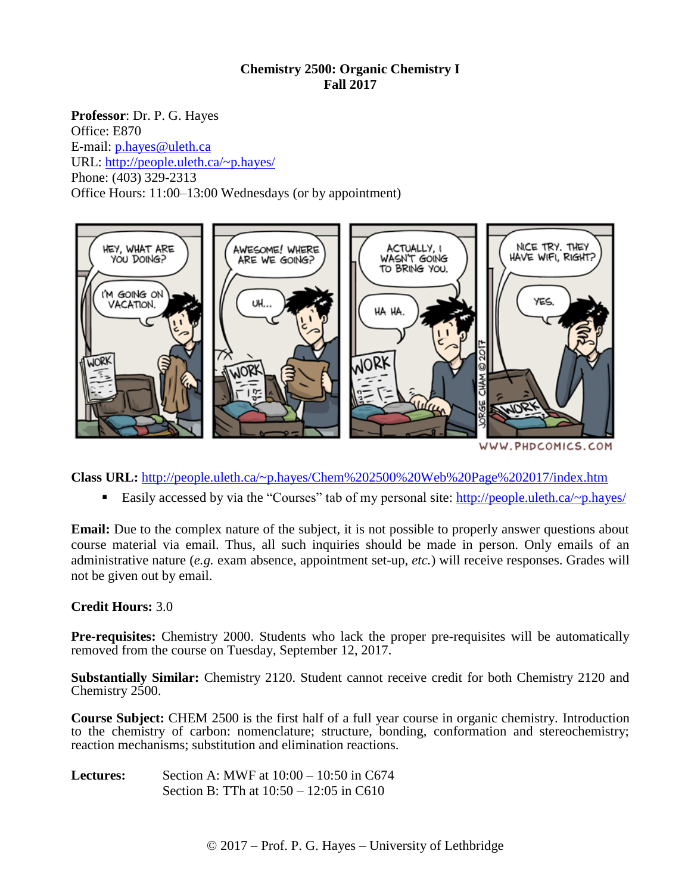## **Chemistry 2500: Organic Chemistry I Fall 2017**

**Professor**: Dr. P. G. Hayes Office: E870 E-mail: [p.hayes@uleth.ca](mailto:p.hayes@uleth.ca) URL:<http://people.uleth.ca/~p.hayes/> Phone: (403) 329-2313 Office Hours: 11:00–13:00 Wednesdays (or by appointment)



WWW.PHDCOMICS.COM

**Class URL:** <http://people.uleth.ca/~p.hayes/Chem%202500%20Web%20Page%202017/index.htm>

Easily accessed by via the "Courses" tab of my personal site:<http://people.uleth.ca/~p.hayes/>

**Email:** Due to the complex nature of the subject, it is not possible to properly answer questions about course material via email. Thus, all such inquiries should be made in person. Only emails of an administrative nature (*e.g.* exam absence, appointment set-up, *etc.*) will receive responses. Grades will not be given out by email.

#### **Credit Hours:** 3.0

**Pre-requisites:** Chemistry 2000. Students who lack the proper pre-requisites will be automatically removed from the course on Tuesday, September 12, 2017.

**Substantially Similar:** Chemistry 2120. Student cannot receive credit for both Chemistry 2120 and Chemistry 2500.

**Course Subject:** CHEM 2500 is the first half of a full year course in organic chemistry. Introduction to the chemistry of carbon: nomenclature; structure, bonding, conformation and stereochemistry; reaction mechanisms; substitution and elimination reactions.

**Lectures:** Section A: MWF at  $10:00 - 10:50$  in C674 Section B: TTh at 10:50 – 12:05 in C610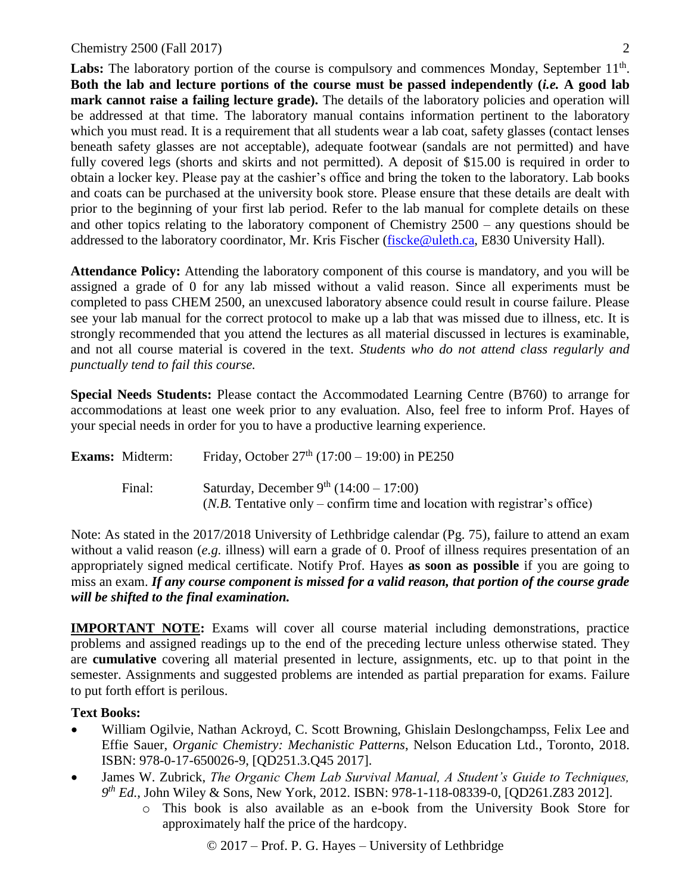Labs: The laboratory portion of the course is compulsory and commences Monday, September 11<sup>th</sup>. **Both the lab and lecture portions of the course must be passed independently (***i.e.* **A good lab mark cannot raise a failing lecture grade).** The details of the laboratory policies and operation will be addressed at that time. The laboratory manual contains information pertinent to the laboratory which you must read. It is a requirement that all students wear a lab coat, safety glasses (contact lenses beneath safety glasses are not acceptable), adequate footwear (sandals are not permitted) and have fully covered legs (shorts and skirts and not permitted). A deposit of \$15.00 is required in order to obtain a locker key. Please pay at the cashier's office and bring the token to the laboratory. Lab books and coats can be purchased at the university book store. Please ensure that these details are dealt with prior to the beginning of your first lab period. Refer to the lab manual for complete details on these and other topics relating to the laboratory component of Chemistry 2500 – any questions should be addressed to the laboratory coordinator, Mr. Kris Fischer [\(fiscke@uleth.ca,](mailto:fiscke@uleth.ca) E830 University Hall).

**Attendance Policy:** Attending the laboratory component of this course is mandatory, and you will be assigned a grade of 0 for any lab missed without a valid reason. Since all experiments must be completed to pass CHEM 2500, an unexcused laboratory absence could result in course failure. Please see your lab manual for the correct protocol to make up a lab that was missed due to illness, etc. It is strongly recommended that you attend the lectures as all material discussed in lectures is examinable, and not all course material is covered in the text. *Students who do not attend class regularly and punctually tend to fail this course.*

**Special Needs Students:** Please contact the Accommodated Learning Centre (B760) to arrange for accommodations at least one week prior to any evaluation. Also, feel free to inform Prof. Hayes of your special needs in order for you to have a productive learning experience.

| <b>Exams:</b> Midterm: | Friday, October $27th$ (17:00 – 19:00) in PE250                                                                                          |  |
|------------------------|------------------------------------------------------------------------------------------------------------------------------------------|--|
| Final:                 | Saturday, December 9th $(14:00 - 17:00)$<br>$(N.B. \text{ Tentative only } - \text{confirm time and location with registerar's office})$ |  |

Note: As stated in the 2017/2018 University of Lethbridge calendar (Pg. 75), failure to attend an exam without a valid reason (*e.g.* illness) will earn a grade of 0. Proof of illness requires presentation of an appropriately signed medical certificate. Notify Prof. Hayes **as soon as possible** if you are going to miss an exam. *If any course component is missed for a valid reason, that portion of the course grade will be shifted to the final examination.*

**IMPORTANT NOTE:** Exams will cover all course material including demonstrations, practice problems and assigned readings up to the end of the preceding lecture unless otherwise stated. They are **cumulative** covering all material presented in lecture, assignments, etc. up to that point in the semester. Assignments and suggested problems are intended as partial preparation for exams. Failure to put forth effort is perilous.

# **Text Books:**

- William Ogilvie, Nathan Ackroyd, C. Scott Browning, Ghislain Deslongchampss, Felix Lee and Effie Sauer, *Organic Chemistry: Mechanistic Patterns*, Nelson Education Ltd., Toronto, 2018. ISBN: 978-0-17-650026-9, [QD251.3.Q45 2017].
- James W. Zubrick, *The Organic Chem Lab Survival Manual, A Student's Guide to Techniques, 9 th Ed.*, John Wiley & Sons, New York, 2012. ISBN: 978-1-118-08339-0, [QD261.Z83 2012].
	- o This book is also available as an e-book from the University Book Store for approximately half the price of the hardcopy.

© 2017 – Prof. P. G. Hayes – University of Lethbridge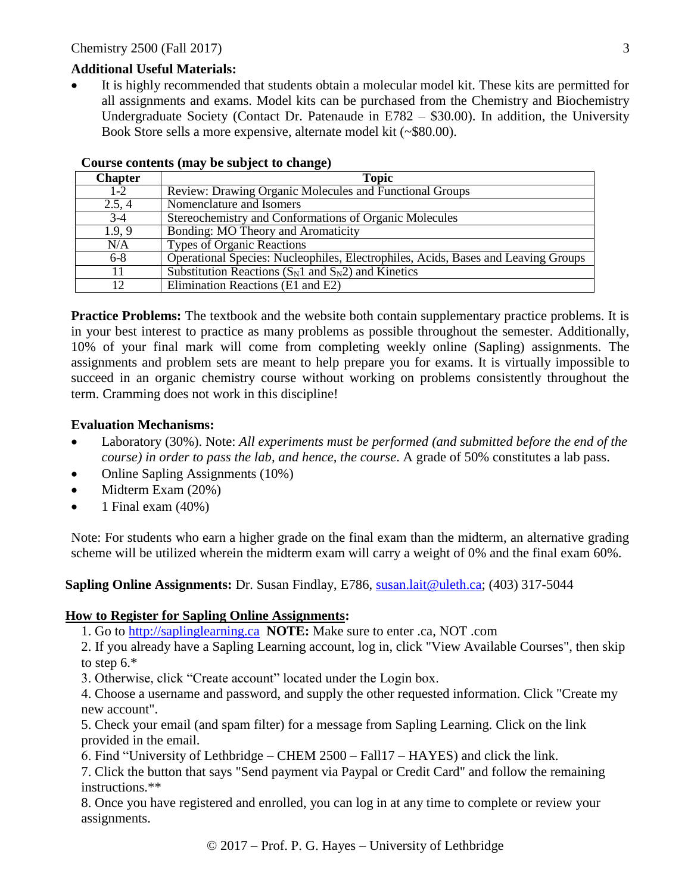# **Additional Useful Materials:**

 It is highly recommended that students obtain a molecular model kit. These kits are permitted for all assignments and exams. Model kits can be purchased from the Chemistry and Biochemistry Undergraduate Society (Contact Dr. Patenaude in  $E782 - $30.00$ ). In addition, the University Book Store sells a more expensive, alternate model kit (~\$80.00).

| <b>Chapter</b> | <b>Topic</b>                                                                      |
|----------------|-----------------------------------------------------------------------------------|
| $1-2$          | Review: Drawing Organic Molecules and Functional Groups                           |
| 2.5, 4         | Nomenclature and Isomers                                                          |
| $3-4$          | Stereochemistry and Conformations of Organic Molecules                            |
| 1.9, 9         | Bonding: MO Theory and Aromaticity                                                |
| N/A            | <b>Types of Organic Reactions</b>                                                 |
| $6-8$          | Operational Species: Nucleophiles, Electrophiles, Acids, Bases and Leaving Groups |
| 11             | Substitution Reactions $(S_N 1$ and $S_N 2)$ and Kinetics                         |
| 12             | Elimination Reactions (E1 and E2)                                                 |

#### **Course contents (may be subject to change)**

**Practice Problems:** The textbook and the website both contain supplementary practice problems. It is in your best interest to practice as many problems as possible throughout the semester. Additionally, 10% of your final mark will come from completing weekly online (Sapling) assignments. The assignments and problem sets are meant to help prepare you for exams. It is virtually impossible to succeed in an organic chemistry course without working on problems consistently throughout the term. Cramming does not work in this discipline!

## **Evaluation Mechanisms:**

- Laboratory (30%). Note: *All experiments must be performed (and submitted before the end of the course) in order to pass the lab, and hence, the course*. A grade of 50% constitutes a lab pass.
- Online Sapling Assignments (10%)
- Midterm Exam (20%)
- $\bullet$  1 Final exam (40%)

Note: For students who earn a higher grade on the final exam than the midterm, an alternative grading scheme will be utilized wherein the midterm exam will carry a weight of 0% and the final exam 60%.

**Sapling Online Assignments:** Dr. Susan Findlay, E786, [susan.lait@uleth.ca;](mailto:susan.lait@uleth.ca) (403) 317-5044

# **How to Register for Sapling Online Assignments:**

1. Go to [http://saplinglearning.ca](http://saplinglearning.ca/) **NOTE:** Make sure to enter .ca, NOT .com

2. If you already have a Sapling Learning account, log in, click "View Available Courses", then skip to step 6.\*

3. Otherwise, click "Create account" located under the Login box.

4. Choose a username and password, and supply the other requested information. Click "Create my new account".

5. Check your email (and spam filter) for a message from Sapling Learning. Click on the link provided in the email.

6. Find "University of Lethbridge – CHEM 2500 – Fall17 – HAYES) and click the link.

7. Click the button that says "Send payment via Paypal or Credit Card" and follow the remaining instructions.\*\*

8. Once you have registered and enrolled, you can log in at any time to complete or review your assignments.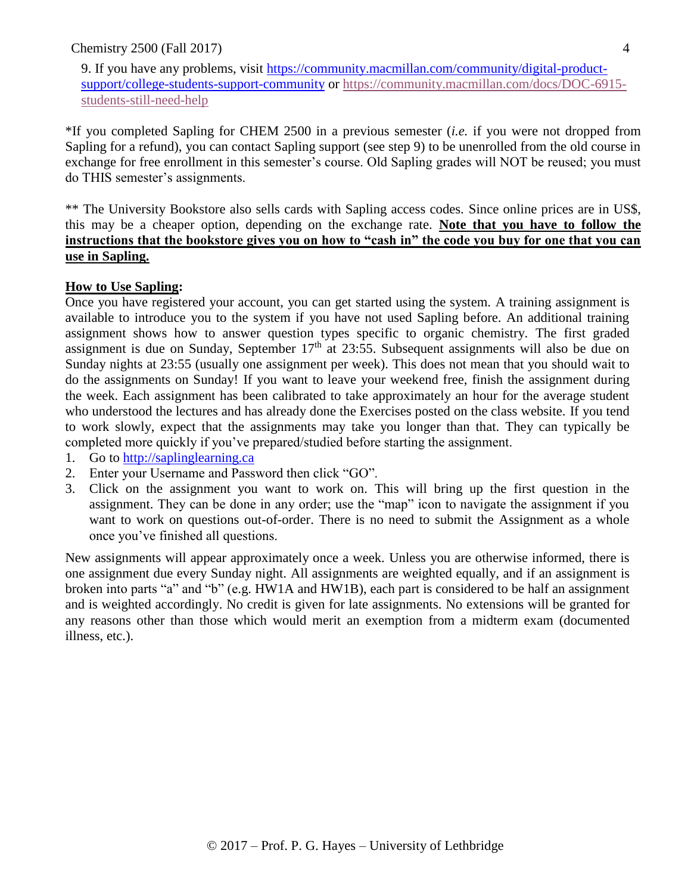## Chemistry 2500 (Fall 2017)

9. If you have any problems, visit [https://community.macmillan.com/community/digital-product](https://community.macmillan.com/community/digital-product-support/college-students-support-community)[support/college-students-support-community](https://community.macmillan.com/community/digital-product-support/college-students-support-community) or [https://community.macmillan.com/docs/DOC-6915](https://community.macmillan.com/docs/DOC-6915-students-still-need-help) [students-still-need-help](https://community.macmillan.com/docs/DOC-6915-students-still-need-help)

\*If you completed Sapling for CHEM 2500 in a previous semester (*i.e.* if you were not dropped from Sapling for a refund), you can contact Sapling support (see step 9) to be unenrolled from the old course in exchange for free enrollment in this semester's course. Old Sapling grades will NOT be reused; you must do THIS semester's assignments.

\*\* The University Bookstore also sells cards with Sapling access codes. Since online prices are in US\$, this may be a cheaper option, depending on the exchange rate. **Note that you have to follow the instructions that the bookstore gives you on how to "cash in" the code you buy for one that you can use in Sapling.**

## **How to Use Sapling:**

Once you have registered your account, you can get started using the system. A training assignment is available to introduce you to the system if you have not used Sapling before. An additional training assignment shows how to answer question types specific to organic chemistry. The first graded assignment is due on Sunday, September  $17<sup>th</sup>$  at 23:55. Subsequent assignments will also be due on Sunday nights at 23:55 (usually one assignment per week). This does not mean that you should wait to do the assignments on Sunday! If you want to leave your weekend free, finish the assignment during the week. Each assignment has been calibrated to take approximately an hour for the average student who understood the lectures and has already done the Exercises posted on the class website. If you tend to work slowly, expect that the assignments may take you longer than that. They can typically be completed more quickly if you've prepared/studied before starting the assignment.

- 1. Go to [http://saplinglearning.ca](http://saplinglearning.ca/)
- 2. Enter your Username and Password then click "GO".
- 3. Click on the assignment you want to work on. This will bring up the first question in the assignment. They can be done in any order; use the "map" icon to navigate the assignment if you want to work on questions out-of-order. There is no need to submit the Assignment as a whole once you've finished all questions.

New assignments will appear approximately once a week. Unless you are otherwise informed, there is one assignment due every Sunday night. All assignments are weighted equally, and if an assignment is broken into parts "a" and "b" (e.g. HW1A and HW1B), each part is considered to be half an assignment and is weighted accordingly. No credit is given for late assignments. No extensions will be granted for any reasons other than those which would merit an exemption from a midterm exam (documented illness, etc.).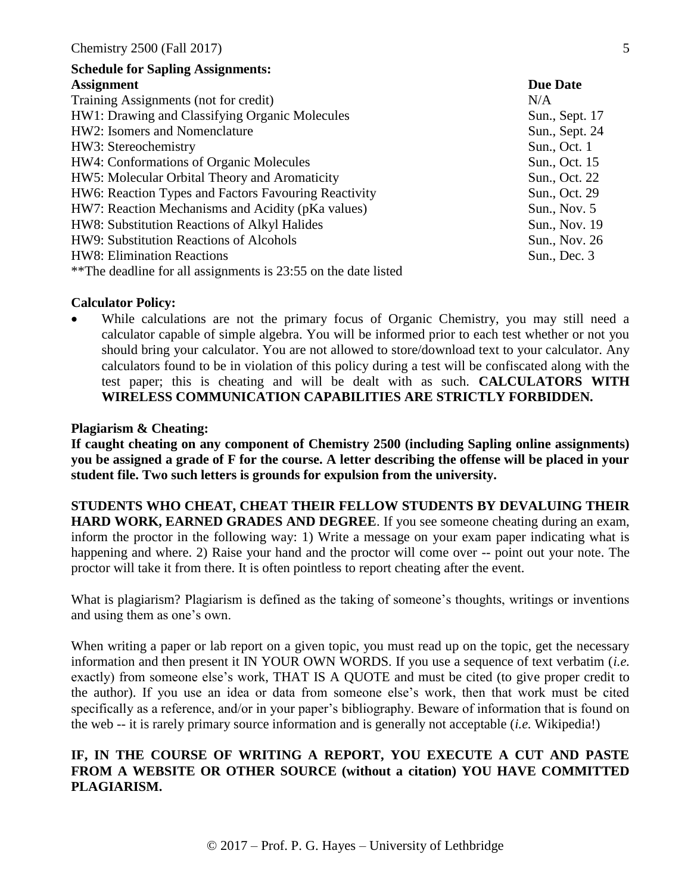| <b>Schedule for Sapling Assignments:</b>                       |                 |
|----------------------------------------------------------------|-----------------|
| <b>Assignment</b>                                              | <b>Due Date</b> |
| Training Assignments (not for credit)                          | N/A             |
| HW1: Drawing and Classifying Organic Molecules                 | Sun., Sept. 17  |
| HW2: Isomers and Nomenclature                                  | Sun., Sept. 24  |
| HW3: Stereochemistry                                           | Sun., Oct. 1    |
| HW4: Conformations of Organic Molecules                        | Sun., Oct. 15   |
| HW5: Molecular Orbital Theory and Aromaticity                  | Sun., Oct. 22   |
| HW6: Reaction Types and Factors Favouring Reactivity           | Sun., Oct. 29   |
| HW7: Reaction Mechanisms and Acidity (pKa values)              | Sun., Nov. $5$  |
| HW8: Substitution Reactions of Alkyl Halides                   | Sun., Nov. 19   |
| HW9: Substitution Reactions of Alcohols                        | Sun., Nov. 26   |
| <b>HW8</b> : Elimination Reactions                             | Sun., Dec. 3    |
| **The deadline for all assignments is 23:55 on the date listed |                 |

#### **Calculator Policy:**

 While calculations are not the primary focus of Organic Chemistry, you may still need a calculator capable of simple algebra. You will be informed prior to each test whether or not you should bring your calculator. You are not allowed to store/download text to your calculator. Any calculators found to be in violation of this policy during a test will be confiscated along with the test paper; this is cheating and will be dealt with as such. **CALCULATORS WITH WIRELESS COMMUNICATION CAPABILITIES ARE STRICTLY FORBIDDEN.**

#### **Plagiarism & Cheating:**

**If caught cheating on any component of Chemistry 2500 (including Sapling online assignments) you be assigned a grade of F for the course. A letter describing the offense will be placed in your student file. Two such letters is grounds for expulsion from the university.** 

**STUDENTS WHO CHEAT, CHEAT THEIR FELLOW STUDENTS BY DEVALUING THEIR HARD WORK, EARNED GRADES AND DEGREE**. If you see someone cheating during an exam, inform the proctor in the following way: 1) Write a message on your exam paper indicating what is happening and where. 2) Raise your hand and the proctor will come over -- point out your note. The proctor will take it from there. It is often pointless to report cheating after the event.

What is plagiarism? Plagiarism is defined as the taking of someone's thoughts, writings or inventions and using them as one's own.

When writing a paper or lab report on a given topic, you must read up on the topic, get the necessary information and then present it IN YOUR OWN WORDS. If you use a sequence of text verbatim (*i.e.* exactly) from someone else's work, THAT IS A QUOTE and must be cited (to give proper credit to the author). If you use an idea or data from someone else's work, then that work must be cited specifically as a reference, and/or in your paper's bibliography. Beware of information that is found on the web -- it is rarely primary source information and is generally not acceptable (*i.e.* Wikipedia!)

## **IF, IN THE COURSE OF WRITING A REPORT, YOU EXECUTE A CUT AND PASTE FROM A WEBSITE OR OTHER SOURCE (without a citation) YOU HAVE COMMITTED PLAGIARISM.**